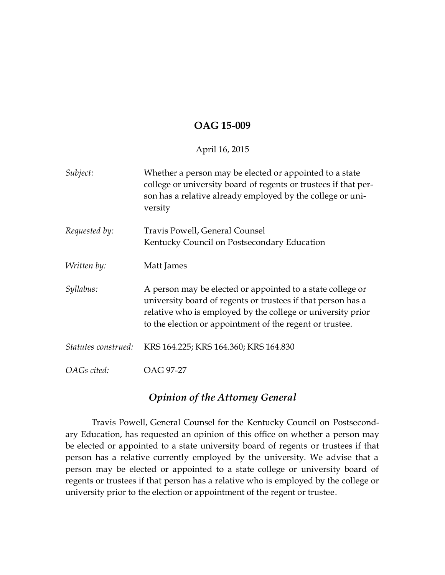## **OAG 15-009**

## April 16, 2015

| Subject:            | Whether a person may be elected or appointed to a state<br>college or university board of regents or trustees if that per-<br>son has a relative already employed by the college or uni-<br>versity                                                   |
|---------------------|-------------------------------------------------------------------------------------------------------------------------------------------------------------------------------------------------------------------------------------------------------|
| Requested by:       | Travis Powell, General Counsel<br>Kentucky Council on Postsecondary Education                                                                                                                                                                         |
| Written by:         | Matt James                                                                                                                                                                                                                                            |
| Syllabus:           | A person may be elected or appointed to a state college or<br>university board of regents or trustees if that person has a<br>relative who is employed by the college or university prior<br>to the election or appointment of the regent or trustee. |
| Statutes construed: | KRS 164.225; KRS 164.360; KRS 164.830                                                                                                                                                                                                                 |
| OAGs cited:         | OAG 97-27                                                                                                                                                                                                                                             |

## *Opinion of the Attorney General*

Travis Powell, General Counsel for the Kentucky Council on Postsecondary Education, has requested an opinion of this office on whether a person may be elected or appointed to a state university board of regents or trustees if that person has a relative currently employed by the university. We advise that a person may be elected or appointed to a state college or university board of regents or trustees if that person has a relative who is employed by the college or university prior to the election or appointment of the regent or trustee.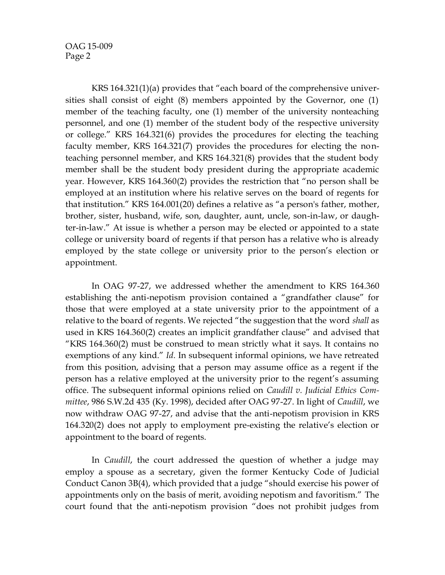OAG 15-009 Page 2

KRS 164.321(1)(a) provides that "each board of the comprehensive universities shall consist of eight (8) members appointed by the Governor, one (1) member of the teaching faculty, one (1) member of the university nonteaching personnel, and one (1) member of the student body of the respective university or college." KRS 164.321(6) provides the procedures for electing the teaching faculty member, KRS 164.321(7) provides the procedures for electing the nonteaching personnel member, and KRS 164.321(8) provides that the student body member shall be the student body president during the appropriate academic year. However, KRS 164.360(2) provides the restriction that "no person shall be employed at an institution where his relative serves on the board of regents for that institution." KRS 164.001(20) defines a relative as "a person's father, mother, brother, sister, husband, wife, son, daughter, aunt, uncle, son-in-law, or daughter-in-law." At issue is whether a person may be elected or appointed to a state college or university board of regents if that person has a relative who is already employed by the state college or university prior to the person's election or appointment.

In OAG 97-27, we addressed whether the amendment to KRS 164.360 establishing the anti-nepotism provision contained a "grandfather clause" for those that were employed at a state university prior to the appointment of a relative to the board of regents. We rejected "the suggestion that the word *shall* as used in KRS 164.360(2) creates an implicit grandfather clause" and advised that "KRS 164.360(2) must be construed to mean strictly what it says. It contains no exemptions of any kind." *Id.* In subsequent informal opinions, we have retreated from this position, advising that a person may assume office as a regent if the person has a relative employed at the university prior to the regent's assuming office. The subsequent informal opinions relied on *Caudill v. Judicial Ethics Committee*, 986 S.W.2d 435 (Ky. 1998), decided after OAG 97-27. In light of *Caudill*, we now withdraw OAG 97-27, and advise that the anti-nepotism provision in KRS 164.320(2) does not apply to employment pre-existing the relative's election or appointment to the board of regents.

In *Caudill*, the court addressed the question of whether a judge may employ a spouse as a secretary, given the former Kentucky Code of Judicial Conduct Canon 3B(4), which provided that a judge "should exercise his power of appointments only on the basis of merit, avoiding nepotism and favoritism." The court found that the anti-nepotism provision "does not prohibit judges from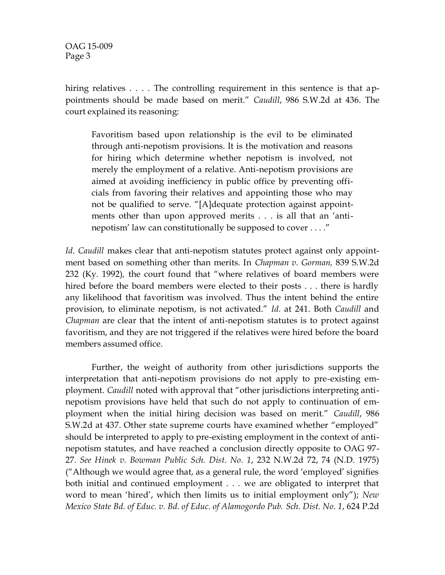OAG 15-009 Page 3

hiring relatives . . . . The controlling requirement in this sentence is that appointments should be made based on merit." *Caudill*, 986 S.W.2d at 436. The court explained its reasoning:

Favoritism based upon relationship is the evil to be eliminated through anti-nepotism provisions. It is the motivation and reasons for hiring which determine whether nepotism is involved, not merely the employment of a relative. Anti-nepotism provisions are aimed at avoiding inefficiency in public office by preventing officials from favoring their relatives and appointing those who may not be qualified to serve. "[A]dequate protection against appointments other than upon approved merits . . . is all that an 'antinepotism' law can constitutionally be supposed to cover . . . ."

*Id*. *Caudill* makes clear that anti-nepotism statutes protect against only appointment based on something other than merits. In *Chapman v. Gorman,* 839 S.W.2d 232 (Ky. 1992)*,* the court found that "where relatives of board members were hired before the board members were elected to their posts . . . there is hardly any likelihood that favoritism was involved. Thus the intent behind the entire provision, to eliminate nepotism, is not activated." *Id.* at 241. Both *Caudill* and *Chapman* are clear that the intent of anti-nepotism statutes is to protect against favoritism, and they are not triggered if the relatives were hired before the board members assumed office.

Further, the weight of authority from other jurisdictions supports the interpretation that anti-nepotism provisions do not apply to pre-existing employment. *Caudill* noted with approval that "other jurisdictions interpreting antinepotism provisions have held that such do not apply to continuation of employment when the initial hiring decision was based on merit." *Caudill*, 986 S.W.2d at 437. Other state supreme courts have examined whether "employed" should be interpreted to apply to pre-existing employment in the context of antinepotism statutes, and have reached a conclusion directly opposite to OAG 97- 27. *See Hinek v. Bowman Public Sch. Dist. No. 1*, 232 N.W.2d 72, 74 (N.D. 1975) ("Although we would agree that, as a general rule, the word 'employed' signifies both initial and continued employment . . . we are obligated to interpret that word to mean 'hired', which then limits us to initial employment only"); *New Mexico State Bd. of Educ. v. Bd. of Educ. of Alamogordo Pub. Sch. Dist. No. 1*, 624 P.2d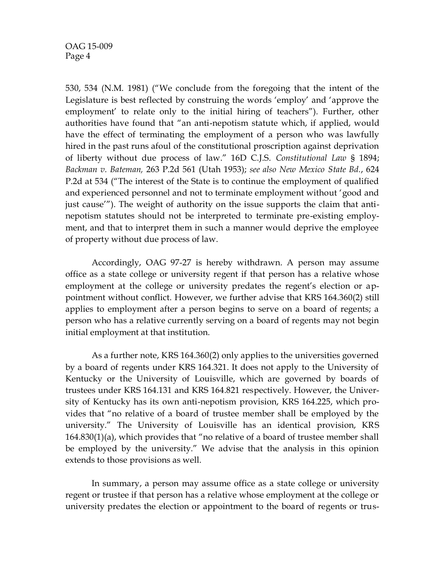530, 534 (N.M. 1981) ("We conclude from the foregoing that the intent of the Legislature is best reflected by construing the words 'employ' and 'approve the employment' to relate only to the initial hiring of teachers"). Further, other authorities have found that "an anti-nepotism statute which, if applied, would have the effect of terminating the employment of a person who was lawfully hired in the past runs afoul of the constitutional proscription against deprivation of liberty without due process of law." 16D C.J.S. *Constitutional Law* § 1894; *Backman v. Bateman,* 263 P.2d 561 (Utah 1953); *see also New Mexico State Bd.*, 624 P.2d at 534 ("The interest of the State is to continue the employment of qualified and experienced personnel and not to terminate employment without 'good and just cause'"). The weight of authority on the issue supports the claim that antinepotism statutes should not be interpreted to terminate pre-existing employment, and that to interpret them in such a manner would deprive the employee of property without due process of law.

Accordingly, OAG 97-27 is hereby withdrawn. A person may assume office as a state college or university regent if that person has a relative whose employment at the college or university predates the regent's election or appointment without conflict. However, we further advise that KRS 164.360(2) still applies to employment after a person begins to serve on a board of regents; a person who has a relative currently serving on a board of regents may not begin initial employment at that institution.

As a further note, KRS 164.360(2) only applies to the universities governed by a board of regents under KRS 164.321. It does not apply to the University of Kentucky or the University of Louisville, which are governed by boards of trustees under KRS 164.131 and KRS 164.821 respectively. However, the University of Kentucky has its own anti-nepotism provision, KRS 164.225, which provides that "no relative of a board of trustee member shall be employed by the university." The University of Louisville has an identical provision, KRS 164.830(1)(a), which provides that "no relative of a board of trustee member shall be employed by the university." We advise that the analysis in this opinion extends to those provisions as well.

In summary, a person may assume office as a state college or university regent or trustee if that person has a relative whose employment at the college or university predates the election or appointment to the board of regents or trus